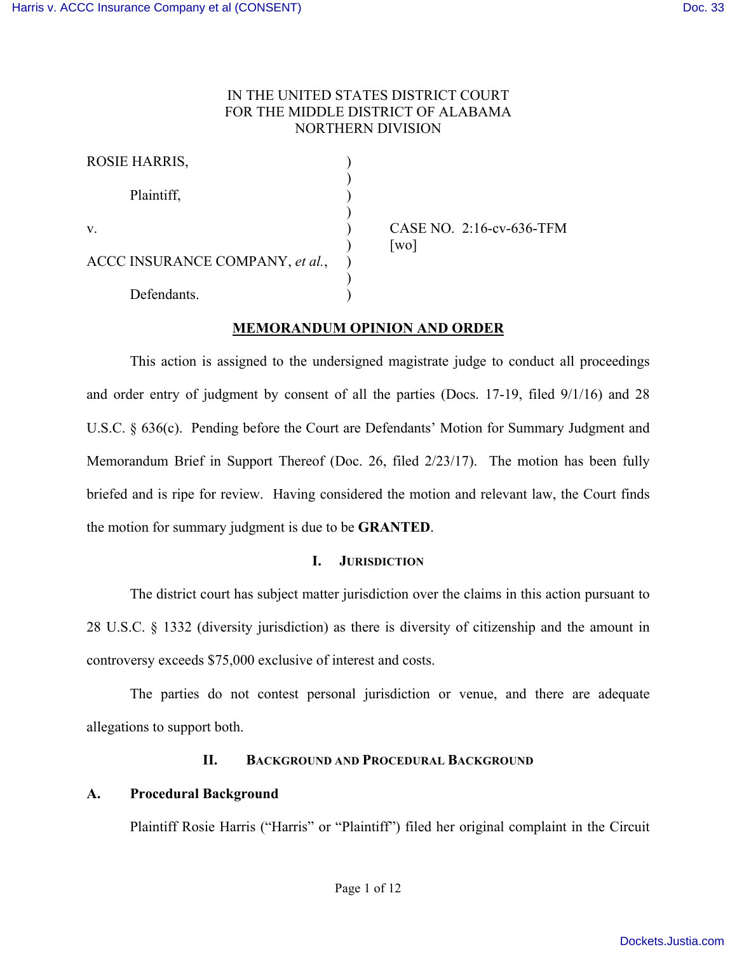### IN THE UNITED STATES DISTRICT COURT FOR THE MIDDLE DISTRICT OF ALABAMA NORTHERN DIVISION

| <b>ROSIE HARRIS,</b>            |  |
|---------------------------------|--|
| Plaintiff,                      |  |
|                                 |  |
| V                               |  |
|                                 |  |
| ACCC INSURANCE COMPANY, et al., |  |
|                                 |  |
| Defendants.                     |  |

CASE NO. 2:16-cv-636-TFM  $\lceil$ wo $\rceil$ 

## **MEMORANDUM OPINION AND ORDER**

This action is assigned to the undersigned magistrate judge to conduct all proceedings and order entry of judgment by consent of all the parties (Docs. 17-19, filed 9/1/16) and 28 U.S.C. § 636(c). Pending before the Court are Defendants' Motion for Summary Judgment and Memorandum Brief in Support Thereof (Doc. 26, filed 2/23/17). The motion has been fully briefed and is ripe for review. Having considered the motion and relevant law, the Court finds the motion for summary judgment is due to be **GRANTED**.

### **I. JURISDICTION**

The district court has subject matter jurisdiction over the claims in this action pursuant to 28 U.S.C. § 1332 (diversity jurisdiction) as there is diversity of citizenship and the amount in controversy exceeds \$75,000 exclusive of interest and costs.

The parties do not contest personal jurisdiction or venue, and there are adequate allegations to support both.

### **II. BACKGROUND AND PROCEDURAL BACKGROUND**

### **A. Procedural Background**

Plaintiff Rosie Harris ("Harris" or "Plaintiff") filed her original complaint in the Circuit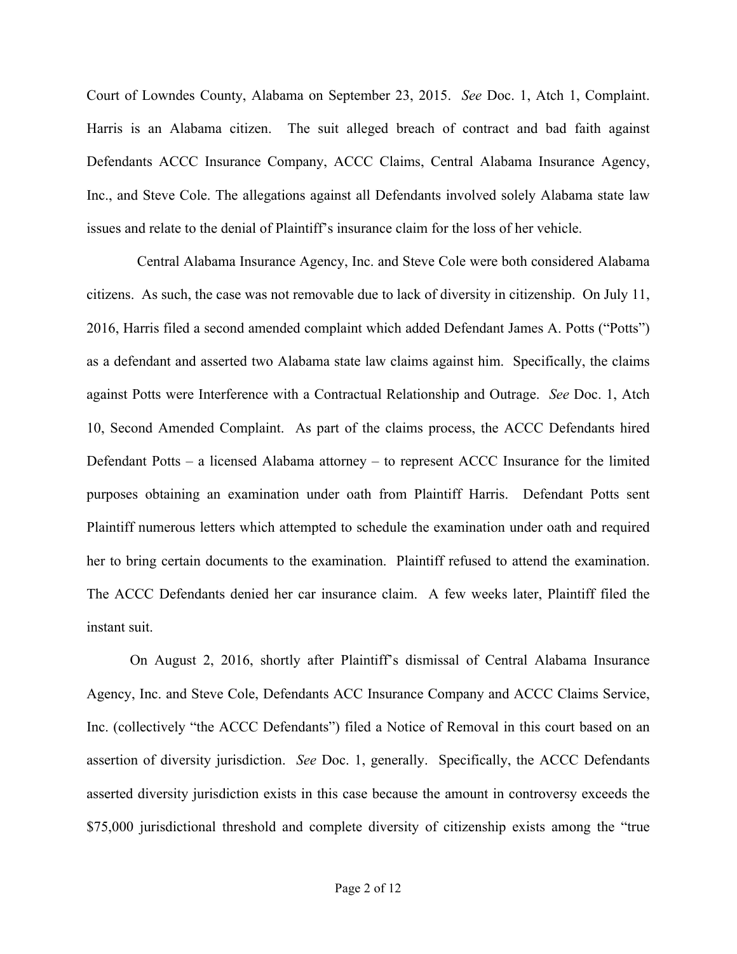Court of Lowndes County, Alabama on September 23, 2015. *See* Doc. 1, Atch 1, Complaint. Harris is an Alabama citizen. The suit alleged breach of contract and bad faith against Defendants ACCC Insurance Company, ACCC Claims, Central Alabama Insurance Agency, Inc., and Steve Cole. The allegations against all Defendants involved solely Alabama state law issues and relate to the denial of Plaintiff's insurance claim for the loss of her vehicle.

 Central Alabama Insurance Agency, Inc. and Steve Cole were both considered Alabama citizens. As such, the case was not removable due to lack of diversity in citizenship. On July 11, 2016, Harris filed a second amended complaint which added Defendant James A. Potts ("Potts") as a defendant and asserted two Alabama state law claims against him. Specifically, the claims against Potts were Interference with a Contractual Relationship and Outrage. *See* Doc. 1, Atch 10, Second Amended Complaint. As part of the claims process, the ACCC Defendants hired Defendant Potts – a licensed Alabama attorney – to represent ACCC Insurance for the limited purposes obtaining an examination under oath from Plaintiff Harris. Defendant Potts sent Plaintiff numerous letters which attempted to schedule the examination under oath and required her to bring certain documents to the examination. Plaintiff refused to attend the examination. The ACCC Defendants denied her car insurance claim. A few weeks later, Plaintiff filed the instant suit.

On August 2, 2016, shortly after Plaintiff's dismissal of Central Alabama Insurance Agency, Inc. and Steve Cole, Defendants ACC Insurance Company and ACCC Claims Service, Inc. (collectively "the ACCC Defendants") filed a Notice of Removal in this court based on an assertion of diversity jurisdiction. *See* Doc. 1, generally. Specifically, the ACCC Defendants asserted diversity jurisdiction exists in this case because the amount in controversy exceeds the \$75,000 jurisdictional threshold and complete diversity of citizenship exists among the "true"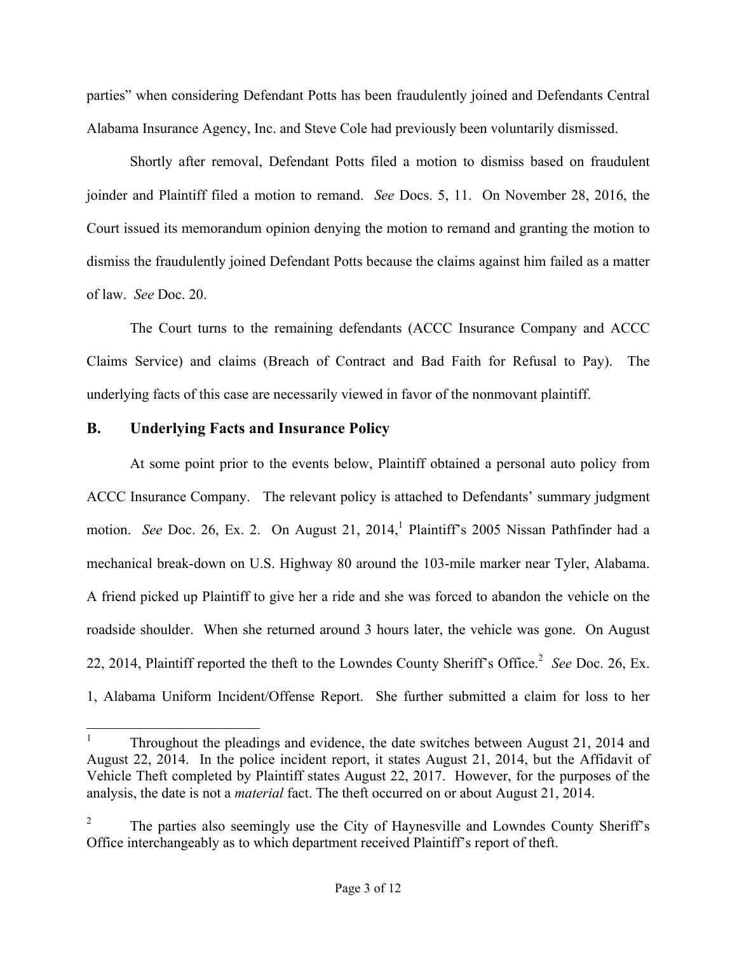parties" when considering Defendant Potts has been fraudulently joined and Defendants Central Alabama Insurance Agency, Inc. and Steve Cole had previously been voluntarily dismissed.

Shortly after removal, Defendant Potts filed a motion to dismiss based on fraudulent joinder and Plaintiff filed a motion to remand. *See* Docs. 5, 11. On November 28, 2016, the Court issued its memorandum opinion denying the motion to remand and granting the motion to dismiss the fraudulently joined Defendant Potts because the claims against him failed as a matter of law. *See* Doc. 20.

The Court turns to the remaining defendants (ACCC Insurance Company and ACCC Claims Service) and claims (Breach of Contract and Bad Faith for Refusal to Pay). The underlying facts of this case are necessarily viewed in favor of the nonmovant plaintiff.

## **B. Underlying Facts and Insurance Policy**

At some point prior to the events below, Plaintiff obtained a personal auto policy from ACCC Insurance Company. The relevant policy is attached to Defendants' summary judgment motion. *See* Doc. 26, Ex. 2. On August 21, 2014, <sup>1</sup> Plaintiff's 2005 Nissan Pathfinder had a mechanical break-down on U.S. Highway 80 around the 103-mile marker near Tyler, Alabama. A friend picked up Plaintiff to give her a ride and she was forced to abandon the vehicle on the roadside shoulder. When she returned around 3 hours later, the vehicle was gone. On August 22, 2014, Plaintiff reported the theft to the Lowndes County Sheriff's Office. 2 *See* Doc. 26, Ex. 1, Alabama Uniform Incident/Offense Report. She further submitted a claim for loss to her

 <sup>1</sup> Throughout the pleadings and evidence, the date switches between August 21, 2014 and August 22, 2014. In the police incident report, it states August 21, 2014, but the Affidavit of Vehicle Theft completed by Plaintiff states August 22, 2017. However, for the purposes of the analysis, the date is not a *material* fact. The theft occurred on or about August 21, 2014.

<sup>2</sup> The parties also seemingly use the City of Haynesville and Lowndes County Sheriff's Office interchangeably as to which department received Plaintiff's report of theft.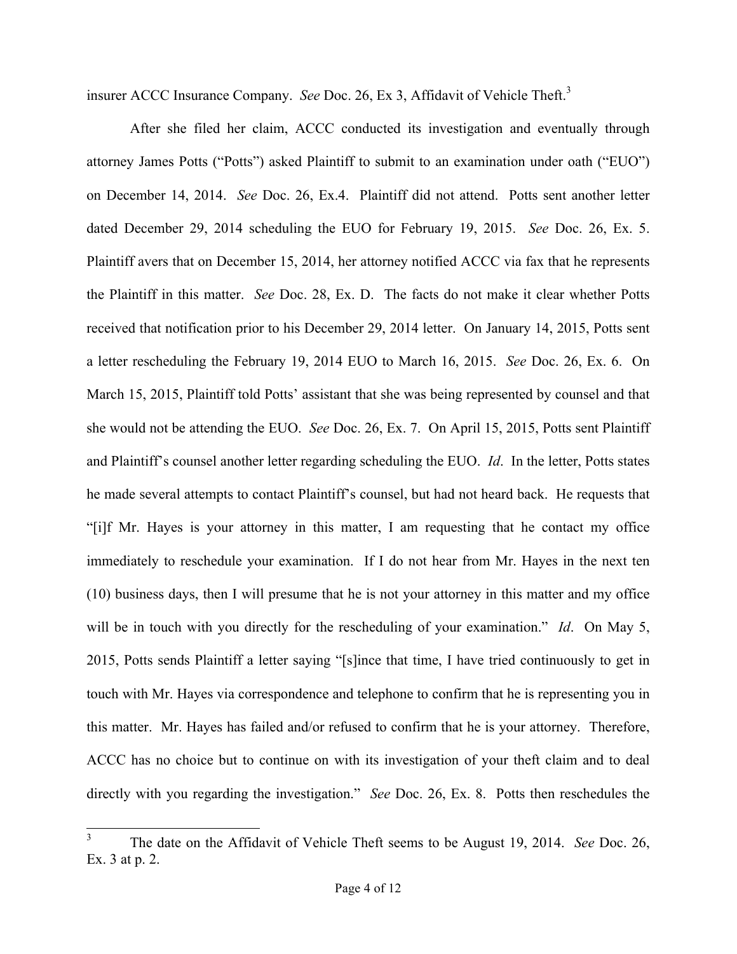insurer ACCC Insurance Company. *See* Doc. 26, Ex 3, Affidavit of Vehicle Theft.<sup>3</sup>

After she filed her claim, ACCC conducted its investigation and eventually through attorney James Potts ("Potts") asked Plaintiff to submit to an examination under oath ("EUO") on December 14, 2014. *See* Doc. 26, Ex.4. Plaintiff did not attend. Potts sent another letter dated December 29, 2014 scheduling the EUO for February 19, 2015. *See* Doc. 26, Ex. 5. Plaintiff avers that on December 15, 2014, her attorney notified ACCC via fax that he represents the Plaintiff in this matter. *See* Doc. 28, Ex. D. The facts do not make it clear whether Potts received that notification prior to his December 29, 2014 letter. On January 14, 2015, Potts sent a letter rescheduling the February 19, 2014 EUO to March 16, 2015. *See* Doc. 26, Ex. 6. On March 15, 2015, Plaintiff told Potts' assistant that she was being represented by counsel and that she would not be attending the EUO. *See* Doc. 26, Ex. 7. On April 15, 2015, Potts sent Plaintiff and Plaintiff's counsel another letter regarding scheduling the EUO. *Id*. In the letter, Potts states he made several attempts to contact Plaintiff's counsel, but had not heard back. He requests that "[i]f Mr. Hayes is your attorney in this matter, I am requesting that he contact my office immediately to reschedule your examination. If I do not hear from Mr. Hayes in the next ten (10) business days, then I will presume that he is not your attorney in this matter and my office will be in touch with you directly for the rescheduling of your examination." *Id*. On May 5, 2015, Potts sends Plaintiff a letter saying "[s]ince that time, I have tried continuously to get in touch with Mr. Hayes via correspondence and telephone to confirm that he is representing you in this matter. Mr. Hayes has failed and/or refused to confirm that he is your attorney. Therefore, ACCC has no choice but to continue on with its investigation of your theft claim and to deal directly with you regarding the investigation." *See* Doc. 26, Ex. 8. Potts then reschedules the

 <sup>3</sup> The date on the Affidavit of Vehicle Theft seems to be August 19, 2014. *See* Doc. 26, Ex. 3 at p. 2.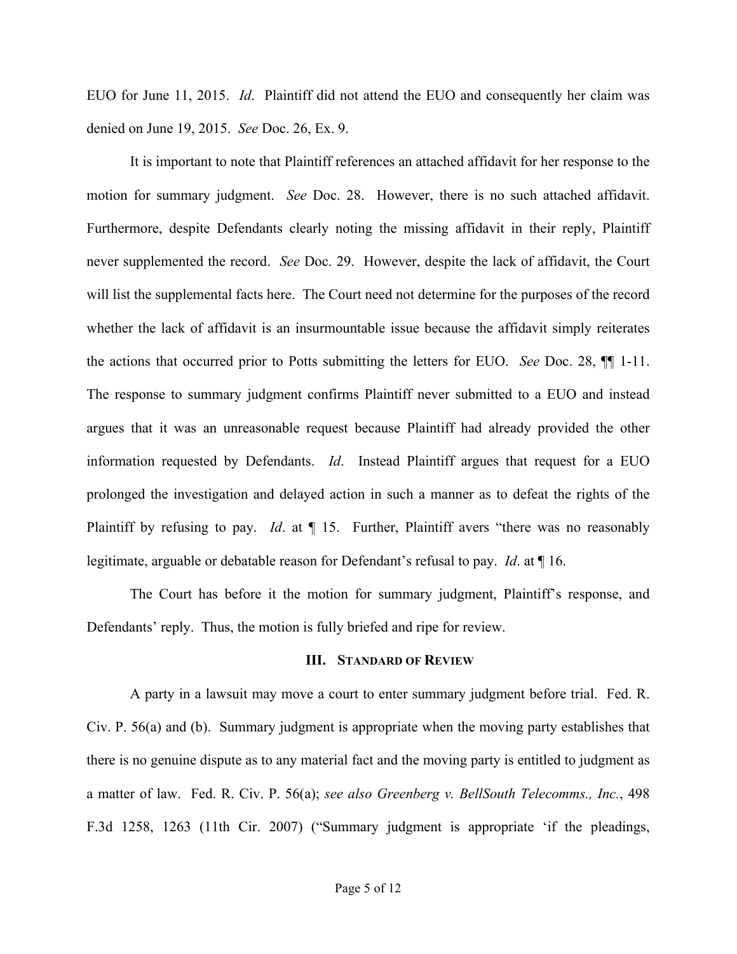EUO for June 11, 2015. *Id*. Plaintiff did not attend the EUO and consequently her claim was denied on June 19, 2015. *See* Doc. 26, Ex. 9.

It is important to note that Plaintiff references an attached affidavit for her response to the motion for summary judgment. *See* Doc. 28. However, there is no such attached affidavit. Furthermore, despite Defendants clearly noting the missing affidavit in their reply, Plaintiff never supplemented the record. *See* Doc. 29. However, despite the lack of affidavit, the Court will list the supplemental facts here. The Court need not determine for the purposes of the record whether the lack of affidavit is an insurmountable issue because the affidavit simply reiterates the actions that occurred prior to Potts submitting the letters for EUO. *See* Doc. 28, ¶¶ 1-11. The response to summary judgment confirms Plaintiff never submitted to a EUO and instead argues that it was an unreasonable request because Plaintiff had already provided the other information requested by Defendants. *Id*. Instead Plaintiff argues that request for a EUO prolonged the investigation and delayed action in such a manner as to defeat the rights of the Plaintiff by refusing to pay. *Id*. at ¶ 15. Further, Plaintiff avers "there was no reasonably legitimate, arguable or debatable reason for Defendant's refusal to pay. *Id*. at ¶ 16.

The Court has before it the motion for summary judgment, Plaintiff's response, and Defendants' reply. Thus, the motion is fully briefed and ripe for review.

#### **III. STANDARD OF REVIEW**

A party in a lawsuit may move a court to enter summary judgment before trial. Fed. R. Civ. P. 56(a) and (b). Summary judgment is appropriate when the moving party establishes that there is no genuine dispute as to any material fact and the moving party is entitled to judgment as a matter of law. Fed. R. Civ. P. 56(a); *see also Greenberg v. BellSouth Telecomms., Inc.*, 498 F.3d 1258, 1263 (11th Cir. 2007) ("Summary judgment is appropriate 'if the pleadings,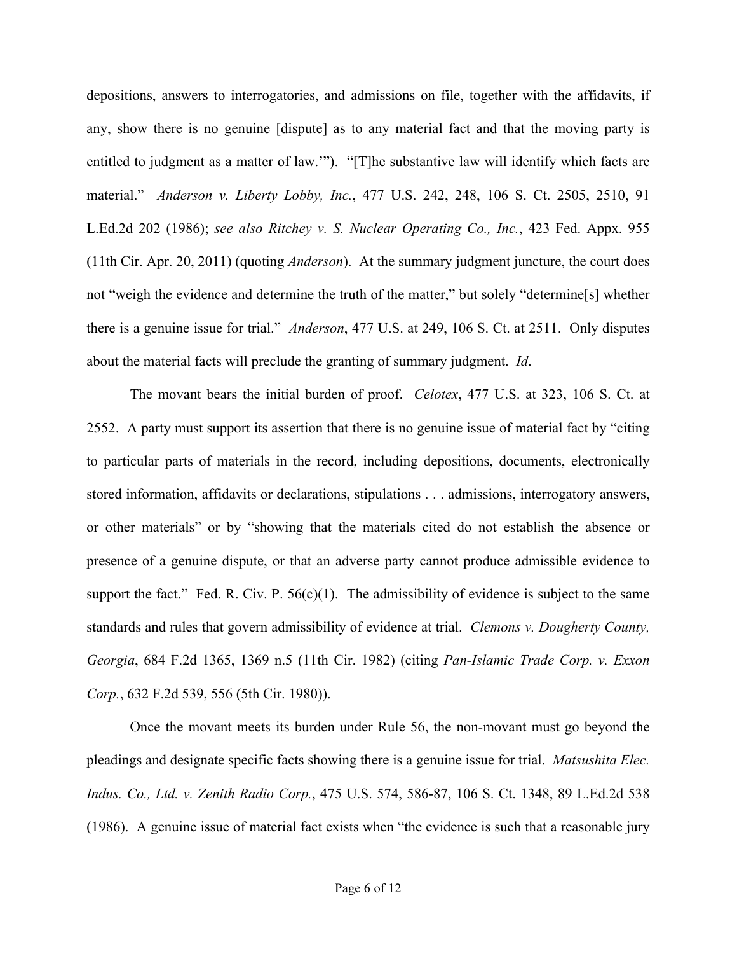depositions, answers to interrogatories, and admissions on file, together with the affidavits, if any, show there is no genuine [dispute] as to any material fact and that the moving party is entitled to judgment as a matter of law.'"). "[T]he substantive law will identify which facts are material." *Anderson v. Liberty Lobby, Inc.*, 477 U.S. 242, 248, 106 S. Ct. 2505, 2510, 91 L.Ed.2d 202 (1986); *see also Ritchey v. S. Nuclear Operating Co., Inc.*, 423 Fed. Appx. 955 (11th Cir. Apr. 20, 2011) (quoting *Anderson*). At the summary judgment juncture, the court does not "weigh the evidence and determine the truth of the matter," but solely "determine[s] whether there is a genuine issue for trial." *Anderson*, 477 U.S. at 249, 106 S. Ct. at 2511. Only disputes about the material facts will preclude the granting of summary judgment. *Id*.

The movant bears the initial burden of proof. *Celotex*, 477 U.S. at 323, 106 S. Ct. at 2552. A party must support its assertion that there is no genuine issue of material fact by "citing to particular parts of materials in the record, including depositions, documents, electronically stored information, affidavits or declarations, stipulations . . . admissions, interrogatory answers, or other materials" or by "showing that the materials cited do not establish the absence or presence of a genuine dispute, or that an adverse party cannot produce admissible evidence to support the fact." Fed. R. Civ. P.  $56(c)(1)$ . The admissibility of evidence is subject to the same standards and rules that govern admissibility of evidence at trial. *Clemons v. Dougherty County, Georgia*, 684 F.2d 1365, 1369 n.5 (11th Cir. 1982) (citing *Pan-Islamic Trade Corp. v. Exxon Corp.*, 632 F.2d 539, 556 (5th Cir. 1980)).

Once the movant meets its burden under Rule 56, the non-movant must go beyond the pleadings and designate specific facts showing there is a genuine issue for trial. *Matsushita Elec. Indus. Co., Ltd. v. Zenith Radio Corp.*, 475 U.S. 574, 586-87, 106 S. Ct. 1348, 89 L.Ed.2d 538 (1986). A genuine issue of material fact exists when "the evidence is such that a reasonable jury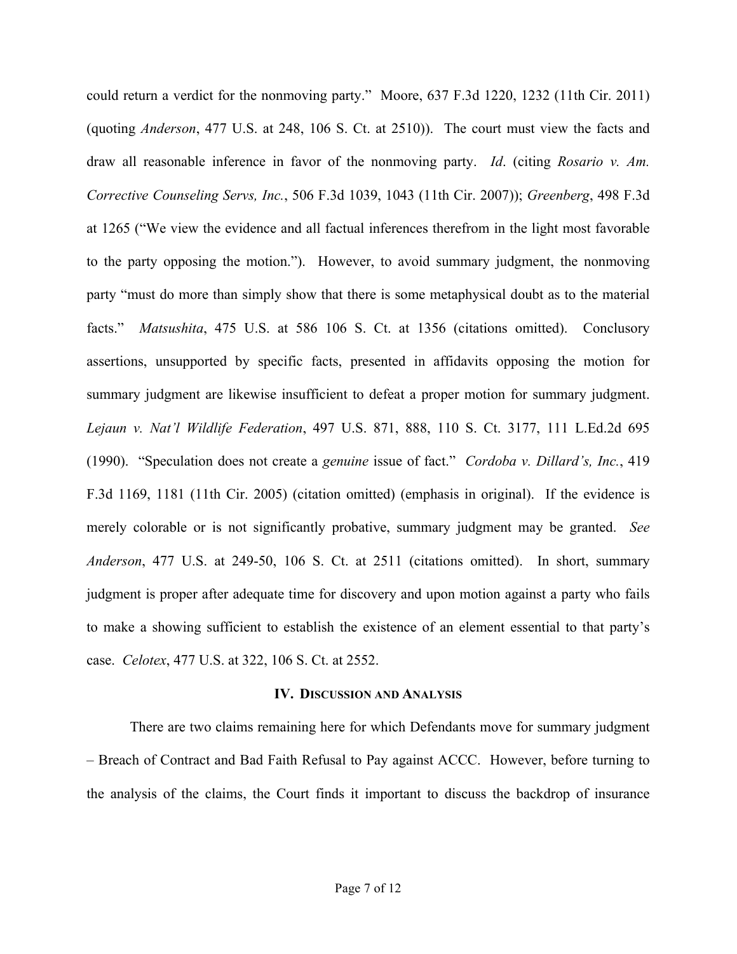could return a verdict for the nonmoving party." Moore, 637 F.3d 1220, 1232 (11th Cir. 2011) (quoting *Anderson*, 477 U.S. at 248, 106 S. Ct. at 2510)). The court must view the facts and draw all reasonable inference in favor of the nonmoving party. *Id*. (citing *Rosario v. Am. Corrective Counseling Servs, Inc.*, 506 F.3d 1039, 1043 (11th Cir. 2007)); *Greenberg*, 498 F.3d at 1265 ("We view the evidence and all factual inferences therefrom in the light most favorable to the party opposing the motion."). However, to avoid summary judgment, the nonmoving party "must do more than simply show that there is some metaphysical doubt as to the material facts." *Matsushita*, 475 U.S. at 586 106 S. Ct. at 1356 (citations omitted). Conclusory assertions, unsupported by specific facts, presented in affidavits opposing the motion for summary judgment are likewise insufficient to defeat a proper motion for summary judgment. *Lejaun v. Nat'l Wildlife Federation*, 497 U.S. 871, 888, 110 S. Ct. 3177, 111 L.Ed.2d 695 (1990). "Speculation does not create a *genuine* issue of fact." *Cordoba v. Dillard's, Inc.*, 419 F.3d 1169, 1181 (11th Cir. 2005) (citation omitted) (emphasis in original). If the evidence is merely colorable or is not significantly probative, summary judgment may be granted. *See Anderson*, 477 U.S. at 249-50, 106 S. Ct. at 2511 (citations omitted). In short, summary judgment is proper after adequate time for discovery and upon motion against a party who fails to make a showing sufficient to establish the existence of an element essential to that party's case. *Celotex*, 477 U.S. at 322, 106 S. Ct. at 2552.

#### **IV. DISCUSSION AND ANALYSIS**

There are two claims remaining here for which Defendants move for summary judgment – Breach of Contract and Bad Faith Refusal to Pay against ACCC. However, before turning to the analysis of the claims, the Court finds it important to discuss the backdrop of insurance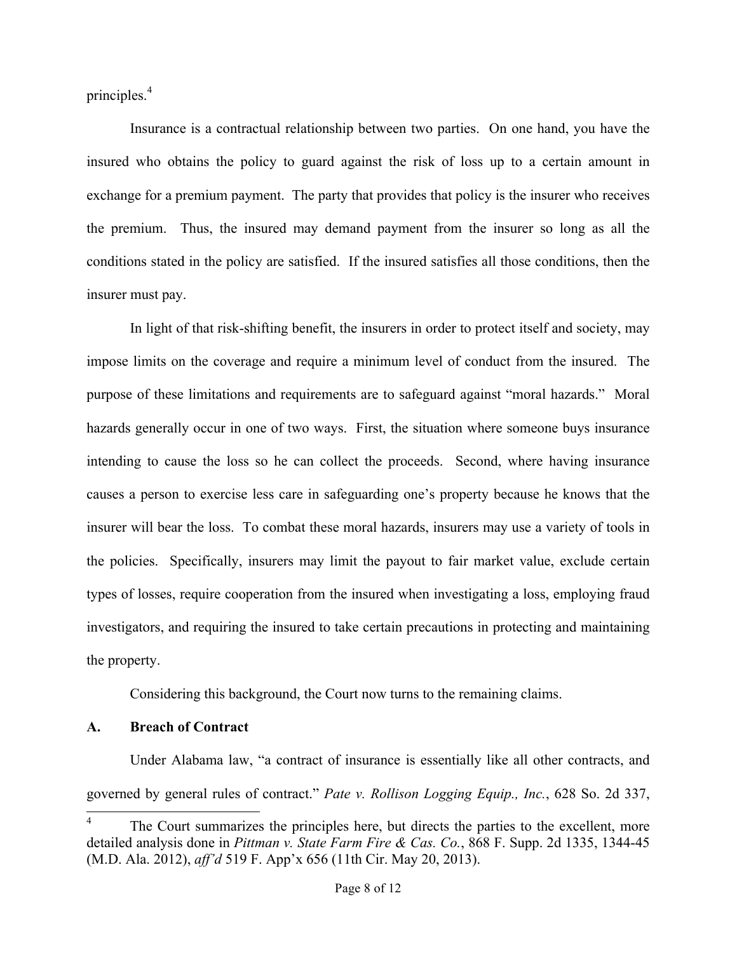principles.<sup>4</sup>

Insurance is a contractual relationship between two parties. On one hand, you have the insured who obtains the policy to guard against the risk of loss up to a certain amount in exchange for a premium payment. The party that provides that policy is the insurer who receives the premium. Thus, the insured may demand payment from the insurer so long as all the conditions stated in the policy are satisfied. If the insured satisfies all those conditions, then the insurer must pay.

In light of that risk-shifting benefit, the insurers in order to protect itself and society, may impose limits on the coverage and require a minimum level of conduct from the insured. The purpose of these limitations and requirements are to safeguard against "moral hazards." Moral hazards generally occur in one of two ways. First, the situation where someone buys insurance intending to cause the loss so he can collect the proceeds. Second, where having insurance causes a person to exercise less care in safeguarding one's property because he knows that the insurer will bear the loss. To combat these moral hazards, insurers may use a variety of tools in the policies. Specifically, insurers may limit the payout to fair market value, exclude certain types of losses, require cooperation from the insured when investigating a loss, employing fraud investigators, and requiring the insured to take certain precautions in protecting and maintaining the property.

Considering this background, the Court now turns to the remaining claims.

## **A. Breach of Contract**

Under Alabama law, "a contract of insurance is essentially like all other contracts, and governed by general rules of contract." *Pate v. Rollison Logging Equip., Inc.*, 628 So. 2d 337,

The Court summarizes the principles here, but directs the parties to the excellent, more detailed analysis done in *Pittman v. State Farm Fire & Cas. Co.*, 868 F. Supp. 2d 1335, 1344-45 (M.D. Ala. 2012), *aff'd* 519 F. App'x 656 (11th Cir. May 20, 2013).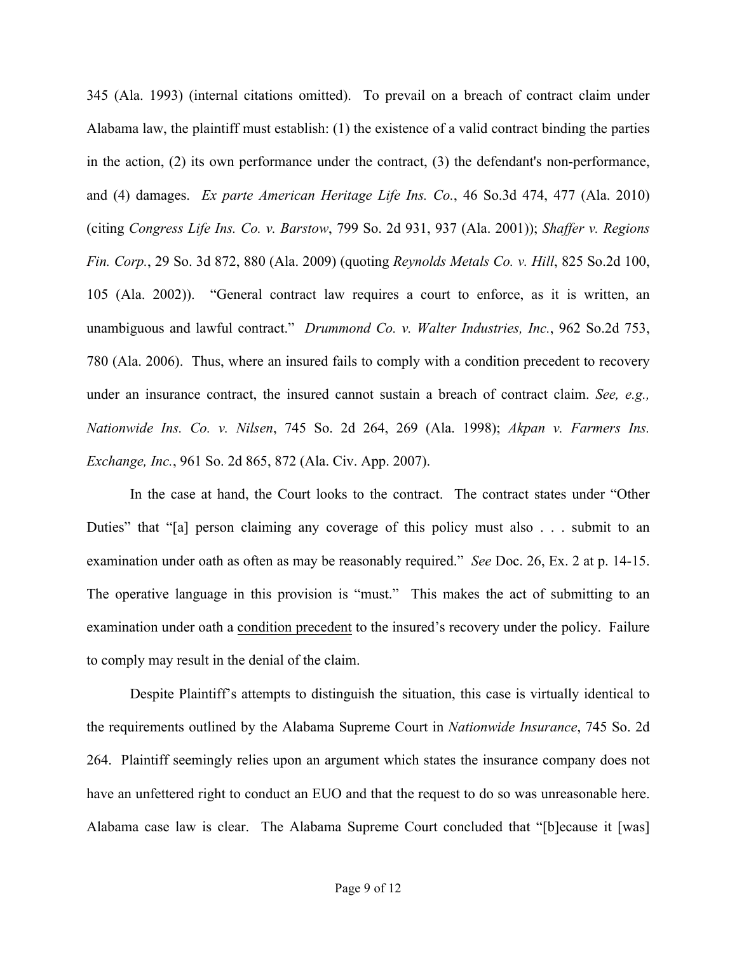345 (Ala. 1993) (internal citations omitted). To prevail on a breach of contract claim under Alabama law, the plaintiff must establish: (1) the existence of a valid contract binding the parties in the action, (2) its own performance under the contract, (3) the defendant's non-performance, and (4) damages. *Ex parte American Heritage Life Ins. Co.*, 46 So.3d 474, 477 (Ala. 2010) (citing *Congress Life Ins. Co. v. Barstow*, 799 So. 2d 931, 937 (Ala. 2001)); *Shaffer v. Regions Fin. Corp.*, 29 So. 3d 872, 880 (Ala. 2009) (quoting *Reynolds Metals Co. v. Hill*, 825 So.2d 100, 105 (Ala. 2002)). "General contract law requires a court to enforce, as it is written, an unambiguous and lawful contract." *Drummond Co. v. Walter Industries, Inc.*, 962 So.2d 753, 780 (Ala. 2006). Thus, where an insured fails to comply with a condition precedent to recovery under an insurance contract, the insured cannot sustain a breach of contract claim. *See, e.g., Nationwide Ins. Co. v. Nilsen*, 745 So. 2d 264, 269 (Ala. 1998); *Akpan v. Farmers Ins. Exchange, Inc.*, 961 So. 2d 865, 872 (Ala. Civ. App. 2007).

In the case at hand, the Court looks to the contract. The contract states under "Other Duties" that "[a] person claiming any coverage of this policy must also . . . submit to an examination under oath as often as may be reasonably required." *See* Doc. 26, Ex. 2 at p. 14-15. The operative language in this provision is "must." This makes the act of submitting to an examination under oath a condition precedent to the insured's recovery under the policy. Failure to comply may result in the denial of the claim.

Despite Plaintiff's attempts to distinguish the situation, this case is virtually identical to the requirements outlined by the Alabama Supreme Court in *Nationwide Insurance*, 745 So. 2d 264. Plaintiff seemingly relies upon an argument which states the insurance company does not have an unfettered right to conduct an EUO and that the request to do so was unreasonable here. Alabama case law is clear. The Alabama Supreme Court concluded that "[b]ecause it [was]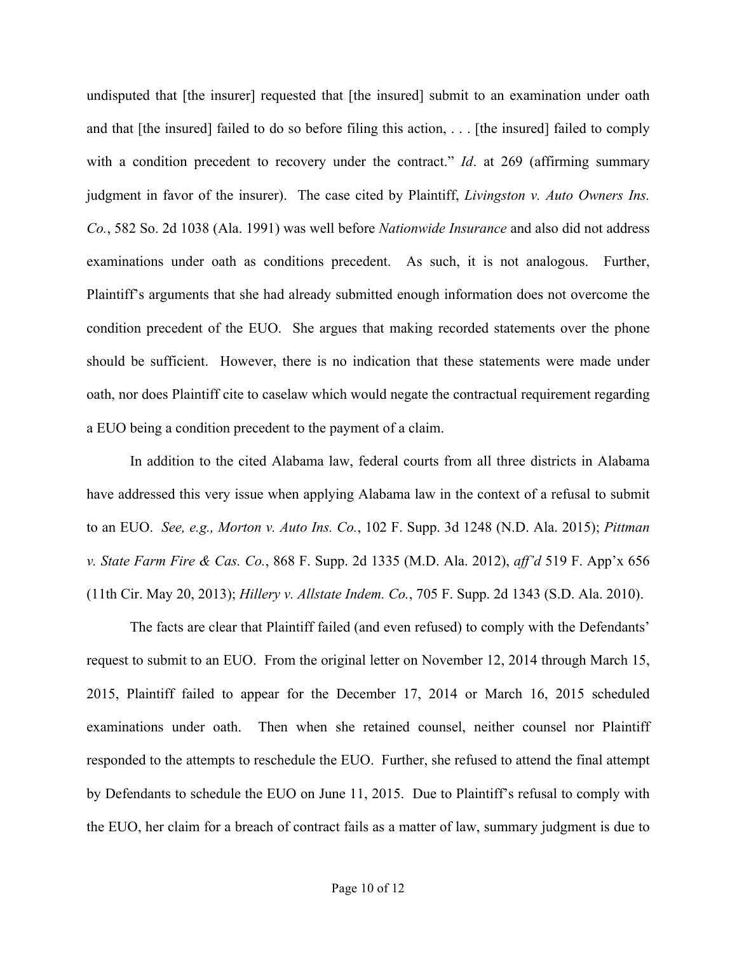undisputed that [the insurer] requested that [the insured] submit to an examination under oath and that [the insured] failed to do so before filing this action, . . . [the insured] failed to comply with a condition precedent to recovery under the contract." *Id.* at 269 (affirming summary judgment in favor of the insurer). The case cited by Plaintiff, *Livingston v. Auto Owners Ins. Co.*, 582 So. 2d 1038 (Ala. 1991) was well before *Nationwide Insurance* and also did not address examinations under oath as conditions precedent. As such, it is not analogous. Further, Plaintiff's arguments that she had already submitted enough information does not overcome the condition precedent of the EUO. She argues that making recorded statements over the phone should be sufficient. However, there is no indication that these statements were made under oath, nor does Plaintiff cite to caselaw which would negate the contractual requirement regarding a EUO being a condition precedent to the payment of a claim.

In addition to the cited Alabama law, federal courts from all three districts in Alabama have addressed this very issue when applying Alabama law in the context of a refusal to submit to an EUO. *See, e.g., Morton v. Auto Ins. Co.*, 102 F. Supp. 3d 1248 (N.D. Ala. 2015); *Pittman v. State Farm Fire & Cas. Co.*, 868 F. Supp. 2d 1335 (M.D. Ala. 2012), *aff'd* 519 F. App'x 656 (11th Cir. May 20, 2013); *Hillery v. Allstate Indem. Co.*, 705 F. Supp. 2d 1343 (S.D. Ala. 2010).

The facts are clear that Plaintiff failed (and even refused) to comply with the Defendants' request to submit to an EUO. From the original letter on November 12, 2014 through March 15, 2015, Plaintiff failed to appear for the December 17, 2014 or March 16, 2015 scheduled examinations under oath. Then when she retained counsel, neither counsel nor Plaintiff responded to the attempts to reschedule the EUO. Further, she refused to attend the final attempt by Defendants to schedule the EUO on June 11, 2015. Due to Plaintiff's refusal to comply with the EUO, her claim for a breach of contract fails as a matter of law, summary judgment is due to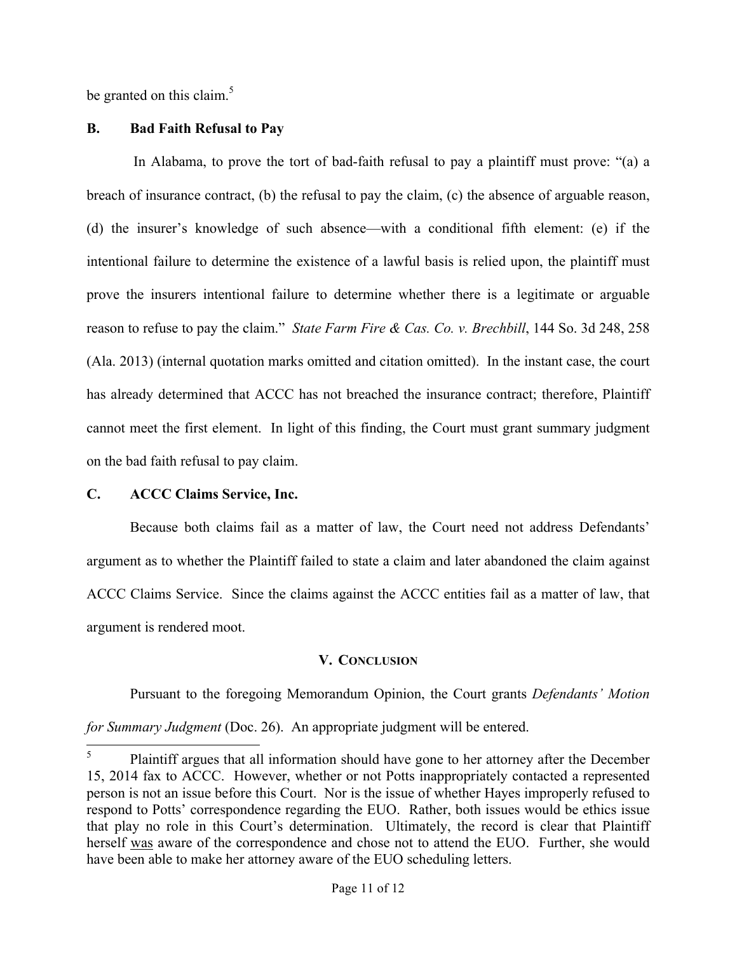be granted on this claim. $5$ 

## **B. Bad Faith Refusal to Pay**

In Alabama, to prove the tort of bad-faith refusal to pay a plaintiff must prove: "(a) a breach of insurance contract, (b) the refusal to pay the claim, (c) the absence of arguable reason, (d) the insurer's knowledge of such absence—with a conditional fifth element: (e) if the intentional failure to determine the existence of a lawful basis is relied upon, the plaintiff must prove the insurers intentional failure to determine whether there is a legitimate or arguable reason to refuse to pay the claim." *State Farm Fire & Cas. Co. v. Brechbill*, 144 So. 3d 248, 258 (Ala. 2013) (internal quotation marks omitted and citation omitted). In the instant case, the court has already determined that ACCC has not breached the insurance contract; therefore, Plaintiff cannot meet the first element. In light of this finding, the Court must grant summary judgment on the bad faith refusal to pay claim.

# **C. ACCC Claims Service, Inc.**

Because both claims fail as a matter of law, the Court need not address Defendants' argument as to whether the Plaintiff failed to state a claim and later abandoned the claim against ACCC Claims Service. Since the claims against the ACCC entities fail as a matter of law, that argument is rendered moot.

# **V. CONCLUSION**

Pursuant to the foregoing Memorandum Opinion, the Court grants *Defendants' Motion* 

*for Summary Judgment* (Doc. 26). An appropriate judgment will be entered.

 <sup>5</sup> Plaintiff argues that all information should have gone to her attorney after the December 15, 2014 fax to ACCC. However, whether or not Potts inappropriately contacted a represented person is not an issue before this Court. Nor is the issue of whether Hayes improperly refused to respond to Potts' correspondence regarding the EUO. Rather, both issues would be ethics issue that play no role in this Court's determination. Ultimately, the record is clear that Plaintiff herself was aware of the correspondence and chose not to attend the EUO. Further, she would have been able to make her attorney aware of the EUO scheduling letters.